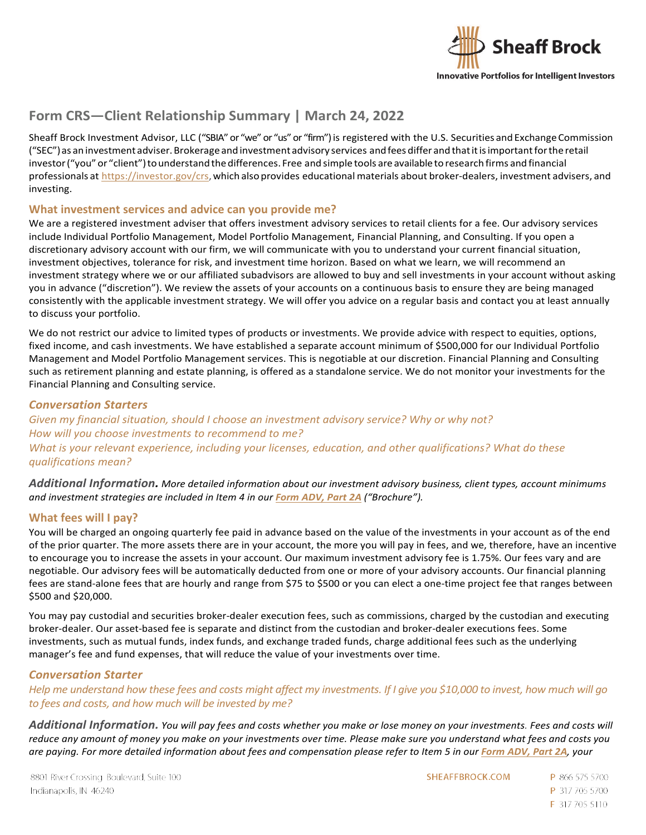

# **Form CRS—Client Relationship Summary | March 24, 2022**

Sheaff Brock Investment Advisor, LLC ("SBIA" or "we" or "us" or "firm") is registered with the U.S. Securities and Exchange Commission ("SEC")as an investment adviser.Brokerageand investment advisory services andfees differ and thatitisimportantfortheretail investor ("you" or "client") to understand the differences. Free and simple tools are available to research firms and financial professionals at [https://investor.gov/crs,](https://investor.gov/crs) which also provides educational materials about broker-dealers, investment advisers, and investing.

# **What investment services and advice can you provide me?**

We are a registered investment adviser that offers investment advisory services to retail clients for a fee. Our advisory services include Individual Portfolio Management, Model Portfolio Management, Financial Planning, and Consulting. If you open a discretionary advisory account with our firm, we will communicate with you to understand your current financial situation, investment objectives, tolerance for risk, and investment time horizon. Based on what we learn, we will recommend an investment strategy where we or our affiliated subadvisors are allowed to buy and sell investments in your account without asking you in advance ("discretion"). We review the assets of your accounts on a continuous basis to ensure they are being managed consistently with the applicable investment strategy. We will offer you advice on a regular basis and contact you at least annually to discuss your portfolio.

We do not restrict our advice to limited types of products or investments. We provide advice with respect to equities, options, fixed income, and cash investments. We have established a separate account minimum of \$500,000 for our Individual Portfolio Management and Model Portfolio Management services. This is negotiable at our discretion. Financial Planning and Consulting such as retirement planning and estate planning, is offered as a standalone service. We do not monitor your investments for the Financial Planning and Consulting service.

### *Conversation Starters*

*Given my financial situation, should I choose an investment advisory service? Why or why not? How will you choose investments to recommend to me? What is your relevant experience, including your licenses, education, and other qualifications? What do these qualifications mean?*

*Additional Information. More detailed information about our investment advisory business, client types, account minimums and investment strategies are included in Item 4 in our [Form ADV, Part 2A](https://sheaffbrock.com/images/sheaff-brock_ADV-Part-2A_03-24-2022.pdf) ("Brochure").* 

# **What fees will I pay?**

You will be charged an ongoing quarterly fee paid in advance based on the value of the investments in your account as of the end of the prior quarter. The more assets there are in your account, the more you will pay in fees, and we, therefore, have an incentive to encourage you to increase the assets in your account. Our maximum investment advisory fee is 1.75%. Our fees vary and are negotiable. Our advisory fees will be automatically deducted from one or more of your advisory accounts. Our financial planning fees are stand-alone fees that are hourly and range from \$75 to \$500 or you can elect a one-time project fee that ranges between \$500 and \$20,000.

You may pay custodial and securities broker-dealer execution fees, such as commissions, charged by the custodian and executing broker-dealer. Our asset-based fee is separate and distinct from the custodian and broker-dealer executions fees. Some investments, such as mutual funds, index funds, and exchange traded funds, charge additional fees such as the underlying manager's fee and fund expenses, that will reduce the value of your investments over time.

### *Conversation Starter*

*Help me understand how these fees and costs might affect my investments. If I give you \$10,000 to invest, how much will go to fees and costs, and how much will be invested by me?*

*Additional Information. You will pay fees and costs whether you make or lose money on your investments. Fees and costs will reduce any amount of money you make on your investments over time. Please make sure you understand what fees and costs you are paying. For more detailed information about fees and compensation please refer to Item 5 in our [Form ADV, Part 2A](https://sheaffbrock.com/images/sheaff-brock_ADV-Part-2A_03-24-2022.pdf), your* 

SHEAFFBROCK.COM